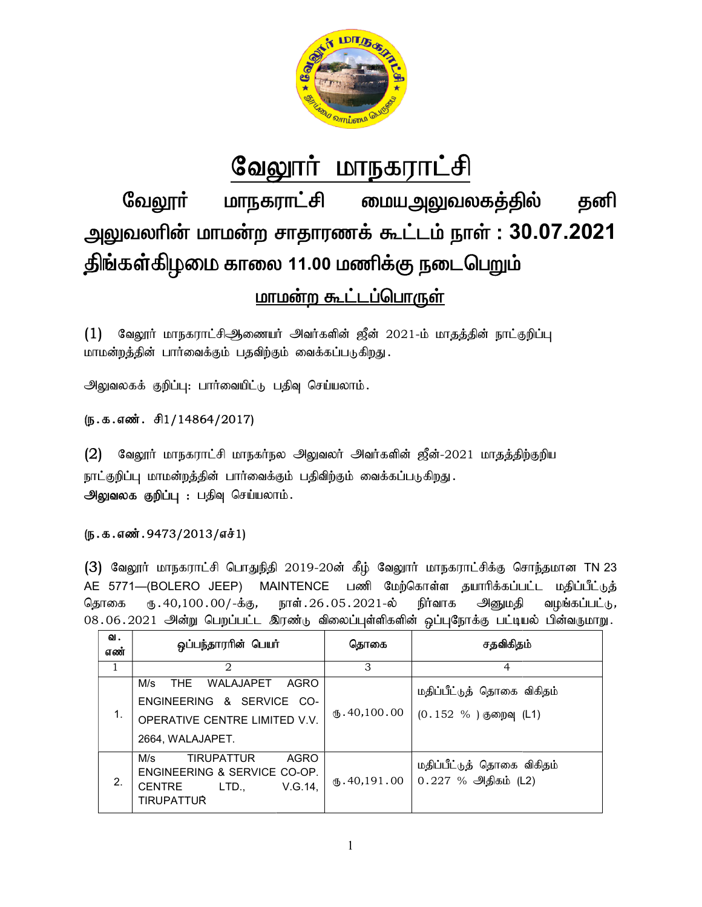

# வேலூர் மாநகராட்சி மாநகராட்சி **மையஅலுவலகத்தில்** வேலூா் தனி அலுவலரின் மாமன்ற சாதாரணக் கூட்டம் நாள் : 30.07.2021 திங்கள்கிழமை காலை 11.00 மணிக்கு நடைபெறும் <u>மாமன்ற கூட்டப்பொருள்</u>

வேலூர் மாநகராட்சிஆணையர் அவர்களின் ஜீன் 2021-ம் மாதத்தின் நாட்குறிப்பு  $(1)$ மாமன்றத்தின் பார்வைக்கும் பதவிற்கும் வைக்கப்படுகிறது.

அலுவலகக் குறிப்பு: பார்வையிட்டு பதிவு செய்யலாம்.

## (ந.க.எண். சி1/14864/2017)

 $(2)$ வேலூர் மாநகராட்சி மாநகர்நல அலுவலர் அவர்களின் ஜீன்-2021 மாதத்திற்குறிய நாட்குறிப்பு மாமன்றத்தின் பார்வைக்கும் பதிவிற்கும் வைக்கப்படுகிறது. அலுவலக குறிப்பு: பதிவு செய்யலாம்.

## $(D.5.5.5\%)$ . 9473/2013/எச்1)

(3) வேலூர் மாநகராட்சி பொதுநிதி 2019-20ன் கீழ் வேலூர் மாநகராட்சிக்கு சொந்தமான TN 23 AE 5771-(BOLERO JEEP) **MAINTENCE** பணி மேற்கொள்ள தயாரிக்கப்பட்ட மதிப்பீட்டுத் தொகை ரு. 40,100 . 00/-க்கு, நாள். 26.05.2021-ல் நிர்வாக அனுமதி வழங்கப்பட்டு, 08.06.2021 அன்று பெறப்பட்ட இரண்டு விலைப்புள்ளிகளின் ஒப்புநோக்கு பட்டியல் பின்வருமாறு.

| ഖ.<br>எண் | ஒப்பந்தாரரின் பெயர்                                                                                                      | தொகை                    | சதவிகிதம்                                                |
|-----------|--------------------------------------------------------------------------------------------------------------------------|-------------------------|----------------------------------------------------------|
| 1         | 2                                                                                                                        | 3                       | $\overline{4}$                                           |
| 1.        | M/s<br>WALAJAPET<br>THE<br>AGRO<br>ENGINEERING & SERVICE CO-<br>OPERATIVE CENTRE LIMITED V.V.<br>2664, WALAJAPET.        | (B.40, 100.00)          | மதிப்பீட்டுத் தொகை விகிதம்<br>$(0.152\% )$ குறைவு $(L1)$ |
| 2.        | AGRO<br>M/s<br><b>TIRUPATTUR</b><br>ENGINEERING & SERVICE CO-OP.<br><b>CENTRE</b><br>V.G.14,<br>LTD<br><b>TIRUPATTUR</b> | $\mathbf{t}$ .40,191.00 | மதிப்பீட்டுத் தொகை விகிதம்<br>$0.227%$ @ அதிகம் (L2)     |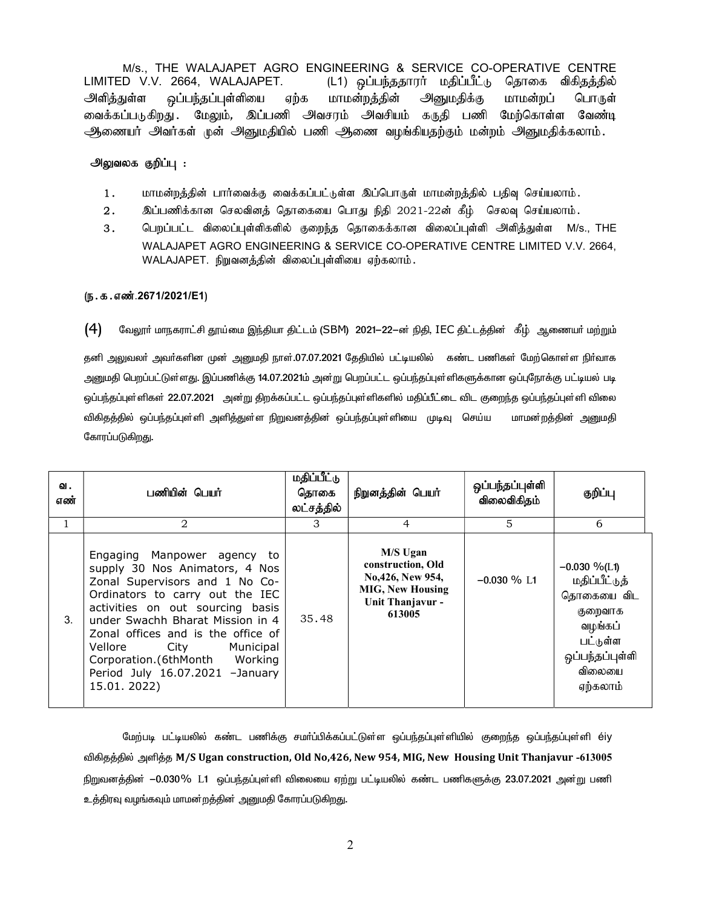M/s., THE WALAJAPET AGRO ENGINEERING & SERVICE CO-OPERATIVE CENTRE LIMITED V.V. 2664, WALAJAPET. (L1) ஒப்பந்ததாரா் மதிப்பீட்டு தொகை விகிதத்தில் அளித்துள்ள ஒப்பந்தப்புள்ளியை ஏற்க மாமன்றத்தின் அனுமதிக்கு மாமன்றப் பொருள் வைக்கப்படுகிறது .மேலும், இப்பணி அவசரம் அவசியம் கருதி பணி மேற்கொள்ள வேண்டி ஆணையர் அவர்கள் முன் அனுமதியில் பணி ஆணை வழங்கியதற்கும் மன்றம் அனுமதிக்கலாம்.

#### அலுவலக குறிப்பு :

- 1. khkd;wj;jpd; ghh;itf;F itf;fgg; l;Ls;s ng;bghUs; khkd;wj;jpy; gjpt[ bra;ayhk;.
- $2.$   $\;$  இப்பணிக்கான செலவினத் தொகையை பொது நிதி 2021-22ன் கீழ் செலவு செய்யலாம்.
- 3. பெறப்பட்ட விலைப்புள்ளிகளில் குறைந்த தொகைக்கான விலைப்புள்ளி அளித்துள்ள M/s., THE WALAJAPET AGRO ENGINEERING & SERVICE CO-OPERATIVE CENTRE LIMITED V.V. 2664,  $WALAJAPET.$  நிறுவனத்தின் விலைப்புள்ளியை ஏற்கலாம்.

#### (ந.க.எண்.2671/2021/E1)

 $\bm{(4)}$  வேலூர் மாநகராட்சி தூய்மை இந்தியா திட்டம் (SBM) 2021–22–ன் நிதி, IEC திட்டத்தின் கீழ் ஆணையர் மற்றும்

தனி அலுவலா் அவா்களின முன் அனுமதி நாள்.07.07.2021 தேதியில் பட்டியலில் கண்ட பணிகள் மேற்கொள்ள நிா்வாக அனுமதி பெறப்பட்டுள்ளது. இப்பணிக்கு 14.07.2021ம் அன்று பெறப்பட்ட ஒப்பந்தப்புள்ளிகளுக்கான ஒப்புநோக்கு பட்டியல் பட ஒப்பந்தப்புள்ளிகள் 22.07.2021 அன்று திறக்கப்பட்ட ஒப்பந்தப்புள்ளிகளில் மதிப்பீட்டை விட குறைந்த ஒப்பந்தப்புள்ளி விலை விகிதத்தில் ஒப்பந்தப்புள்ளி அளித்துள்ள நிறுவனத்தின் ஒப்பந்தப்புள்ளியை முடிவு செய்ய மாமன்றத்தின் அனுமதி கோரப்படுகிறது.

| ഖ.<br>எண் | பணியின் பெயர்                                                                                                                                                                                                                                                                                                                                                  | <b>மதிப்பீட்</b> டு<br>தொகை<br>லட்சத்தில் | நிறுனத்தின் பெயர்                                                                                          | ஒப்பந்தப்புள்ளி<br>விலைவிகிதம் | குறிப்பு                                                                                                                  |
|-----------|----------------------------------------------------------------------------------------------------------------------------------------------------------------------------------------------------------------------------------------------------------------------------------------------------------------------------------------------------------------|-------------------------------------------|------------------------------------------------------------------------------------------------------------|--------------------------------|---------------------------------------------------------------------------------------------------------------------------|
|           | 2                                                                                                                                                                                                                                                                                                                                                              | 3                                         | 4                                                                                                          | 5                              | 6                                                                                                                         |
| 3.        | Engaging Manpower agency to<br>supply 30 Nos Animators, 4 Nos<br>Zonal Supervisors and 1 No Co-<br>Ordinators to carry out the IEC<br>activities on out sourcing basis<br>under Swachh Bharat Mission in 4<br>Zonal offices and is the office of<br>Vellore City Municipal<br>Corporation.(6thMonth Working<br>Period July 16.07.2021 -January<br>15.01. 2022) | 35.48                                     | M/S Ugan<br>construction, Old<br>No.426, New 954,<br><b>MIG, New Housing</b><br>Unit Thanjavur -<br>613005 | $-0.030\%$ L1                  | $-0.030\%$ (L1)<br>மதிப்பீட்டுத்<br>தொகையை விட<br>குறைவாக<br>வழங்கப்<br>பட்டுள்ள<br>ஒப்பந்தப்புள்ளி<br>விலையை<br>ஏற்கலாம் |

மேற்படி பட்டியலில் கண்ட பணிக்கு சமா்ப்பிக்கப்பட்டுள்ள ஒப்பந்தப்புள்ளியில் குறைந்த ஒப்பந்தப்புள்ளி éiy விகிதத்தில் அளித்த M/S Ugan construction, Old No,426, New 954, MIG, New Housing Unit Thanjavur -613005 நிறுவனத்தின் −0.030% L1 ஒப்பந்தப்புள்ளி விலையை ஏற்று பட்டியலில் கண்ட பணிகளுக்கு 23.07.2021 அன்று பணி உத்திரவு வழங்கவும் மாமன றத்தின் அனுமதி கோரப்படுகிறது.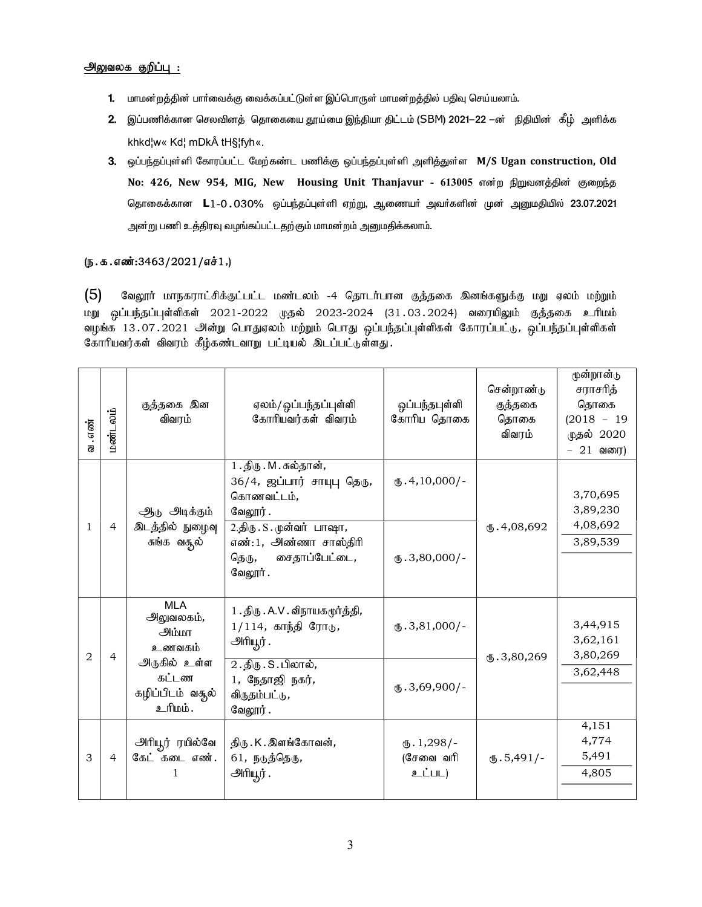#### <u> அலுவலக குறிப்பு :</u>

- 1. மாமன்றத்தின் பார்வைக்கு வைக்கப்பட்டுள்ள இப்பொருள் மாமன்றத்தில் பதிவு செய்யலாம்.
- 2. இப்பணிக்கான செலவினத் தொகையை தூய்மை இந்தியா திட்டம் (SBM) 2021—22 —ன் நிதியின் கீழ் அளிக்க khkd¦w« Kd¦ mDk tH§¦fyh«.
- 3. ஒப்பந்தப்புள்ளி கோரப்பட்ட மேற்கண்ட பணிக்கு ஒப்பந்தப்புள்ளி அளித்துள்ள M/S Ugan construction, Old No: 426, New 954, MIG, New Housing Unit Thanjavur - 613005 என்ற நிறுவனத்தின் குறைந்த தொகைக்கான L1-O.030% ஒப்பந்தப்புள்ளி ஏற்று, ஆணையர் அவர்களின் முன் அனுமதியில் 23.07.2021 அன்று பணி உத்திரவு வழங்கப்பட்டதற்கும் மாமன்றம் அனுமதிக்கலாம்.

### $(5.5.500)(5.3463/2021/57.5)$

 $(5)$ வேலூர் மாநகராட்சிக்குட்பட்ட மண்டலம் -4 தொடர்பான குத்தகை இனங்களுக்கு மறு ஏலம் மற்றும் மறு ஒப்பந்தப்புள்ளிகள் 2021-2022 முதல் 2023-2024 (31.03.2024) வரையிலும் குத்தகை உரிமம் வழங்க 13.07.2021 அன்று பொதுஏலம் மற்றும் பொது ஒப்பந்தப்புள்ளிகள் கோரப்பட்டு, ஒப்பந்தப்புள்ளிகள் கோரியவர்கள் விவரம் கீழ்கண்டவாறு பட்டியல் இடப்பட்டுள்ளது.

| வ . எண்        | மண்டலம்        | குத்தகை இன<br>விவரம்                                                                                           | ஏலம்/ஒப்பந்தப்புள்ளி<br>கோரியவர்கள் விவரம்                                                                                                                                 | ஒப்பந்தபுள்ளி<br>கோரிய தொகை                       | சென்றாண்டு<br>குத்தகை<br>தொகை<br>விவரம் | மூன்றான்டு<br>சராசரித்<br>தொகை<br>$(2018 - 19)$<br>முதல் 2020<br>$-21$ வரை) |
|----------------|----------------|----------------------------------------------------------------------------------------------------------------|----------------------------------------------------------------------------------------------------------------------------------------------------------------------------|---------------------------------------------------|-----------------------------------------|-----------------------------------------------------------------------------|
| 1              | $\overline{4}$ | ஆ <sub>்</sub> டு அடிக்கும்<br>இடத்தில் நுழைவு<br>சுங்க வசூல்                                                  | 1. திரு. M. சுல்தான்,<br>$36/4$ , ஜப்பார் சாயுபு தெரு,<br>கொணவட்டம்,<br>வேலூர்.<br>2.திரு. S. முன்வர் பாஷா,<br>எண்:1, அண்ணா சாஸ்திரி<br>சைதாப்பேட்டை,<br>தெரு,<br>வேலூர் . | $(D.4, 10,000)$ -<br>$(D.3,80,000)$ -             | $\times$ .4,08,692                      | 3,70,695<br>3,89,230<br>4,08,692<br>3,89,539                                |
| $\overline{2}$ | $\overline{4}$ | <b>MLA</b><br>அலுவலகம்,<br><b>பிய்</b> டு<br>உணவகம்<br>அருகில் உள்ள<br>கட்டண<br>கழிப்பிடம் வசூல்<br>, ம்யிட்டீ | 1 . திரு . A.V . விநாயகமூர்த்தி,<br>$1/114$ , காந்தி ரோடு,<br>அரியூர்.<br>2.திரு. S. பிலால்,<br>1, நேதாஜி நகர்,<br>விருதம்பட்டு,<br>வேலூர்.                                | $\text{I}5.3,81,000$ /-<br>$\text{I}5.3,69,900/-$ | $\times$ .3,80,269                      | 3,44,915<br>3,62,161<br>3,80,269<br>3,62,448                                |
| 3              | $\overline{4}$ | அரியூர் ரயில்வே<br>கேட் கடை எண்.                                                                               | திரு. K. இளங்கோவன்,<br>61, நடுத்தெரு,<br>அரியூர்.                                                                                                                          | $\mathbf{L}$ . 1,298/-<br>(சேவை வரி<br>உட்பட)     | $\mathbf{L}$ .5,491/-                   | 4,151<br>4,774<br>5,491<br>4,805                                            |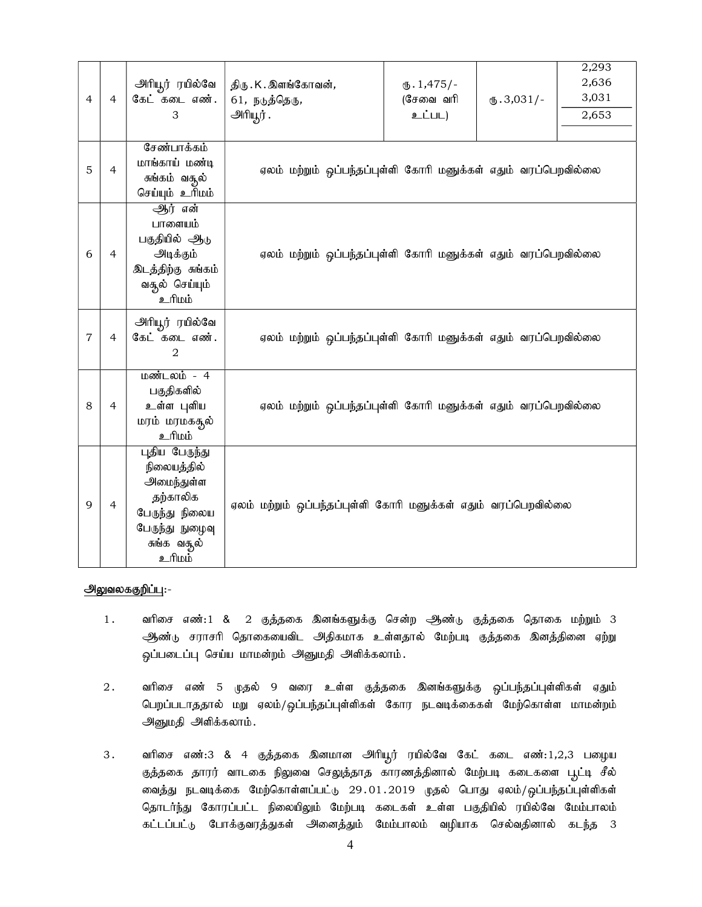| $\overline{4}$ | $\overline{4}$ | அரியூர் ரயில்வே<br>கேட் கடை எண்.<br>3                                                                                        | திரு . K . இளங்கோவன்,<br>61, நடுத்தெரு,<br>அரியூர்.            | $\mathbf{L} \cdot 1,475$ /-<br>$($ சேவை வரி<br>உட்பட) | $\mathbf{L}$ .3,031/- | 2,293<br>2,636<br>3,031<br>2,653 |
|----------------|----------------|------------------------------------------------------------------------------------------------------------------------------|----------------------------------------------------------------|-------------------------------------------------------|-----------------------|----------------------------------|
| 5              | $\overline{4}$ | சேண்பாக்கம்<br>மாங்காய் மண்டி<br>சுங்கம் வசூல்<br>செய்யும் உரிமம்                                                            | ஏலம் மற்றும் ஒப்பந்தப்புள்ளி கோரி மனுக்கள் எதும் வரப்பெறவில்லை |                                                       |                       |                                  |
| 6              | 4              | ஆர் என்<br>பாளையம்<br>பகுதியில் ஆடு<br>அடிக்கும்<br>இடத்திற்கு சுங்கம்<br>வசூல் செய்யும்<br><i>ப்ப</i> ரி <u>உ</u>           | ஏலம் மற்றும் ஒப்பந்தப்புள்ளி கோரி மனுக்கள் எதும் வரப்பெறவில்லை |                                                       |                       |                                  |
| 7              | 4              | அரியூர் ரயில்வே<br>கேட் கடை எண்.<br>$\overline{2}$                                                                           | ஏலம் மற்றும் ஒப்பந்தப்புள்ளி கோரி மனுக்கள் எதும் வரப்பெறவில்லை |                                                       |                       |                                  |
| 8              | 4              | மண்டலம் - 4<br>பகுதிகளில்<br>உள்ள புளிய<br>மரம் மரமகதூல்<br><i>ப்</i> பரி_உ                                                  | ஏலம் மற்றும் ஒப்பந்தப்புள்ளி கோரி மனுக்கள் எதும் வரப்பெறவில்லை |                                                       |                       |                                  |
| 9              | $\overline{4}$ | புதிய பேருந்து<br>நிலையத்தில்<br>அமைந்துள்ள<br>தற்காலிக<br>பேருந்து நிலைய<br>பேருந்து நுழைவு<br>சுங்க வசூல்<br><u>ர்யிடீ</u> | ஏலம் மற்றும் ஒப்பந்தப்புள்ளி கோரி மனுக்கள் எதும் வரப்பெறவில்லை |                                                       |                       |                                  |

#### அலுவலககுறிப்பு:-

- 1. வரிசை எண்:1 & 2 குத்தகை இனங்களுக்கு சென்ற ஆண்டு குத்தகை தொகை மற்றும் 3 ஆண்டு சராசரி தொகையைவிட அதிகமாக உள்ளதால் மேற்படி குத்தகை இனத்தினை ஏற்று ஓப்படைப்பு செய்ய மாமன்றம் அனுமதி அளிக்கலாம்.
- 2. வரிசை எண் 5 முதல் 9 வரை உள்ள குத்தகை இனங்களுக்கு ஒப்பந்தப்புள்ளிகள் ஏதும் பெறப்படாததால் மறு ஏலம்/ஒப்பந்தப்புள்ளிகள் கோர நடவடிக்கைகள் மேற்கொள்ள மாமன்றம் அனுமதி அளிக்கலாம்.
- 3. வரிசை எண்:3 & 4 குத்தகை இனமான அிரியூர் ரயில்வே கேட் கடை எண்:1,2,3 பழைய குத்தகை தாரர் வாடகை நிலுவை செலுத்தாத காரணத்தினால் மேற்படி கடைகளை பூட்டி சீல் வைத்து நடவடிக்கை மேற்கொள்ளப்பட்டு 29.01.2019 முதல் பொது ஏலம்/ஒப்பந்தப்புள்ளிகள் தொடர்ந்து கோரப்பட்ட நிலையிலும் மேற்படி கடைகள் உள்ள பகுதியில் ரயில்வே மேம்பாலம் கட்டப்பட்டு போக்குவரத்துகள் அனைத்தும் மேம்பாலம் வழியாக செல்வதினால் கடந்த 3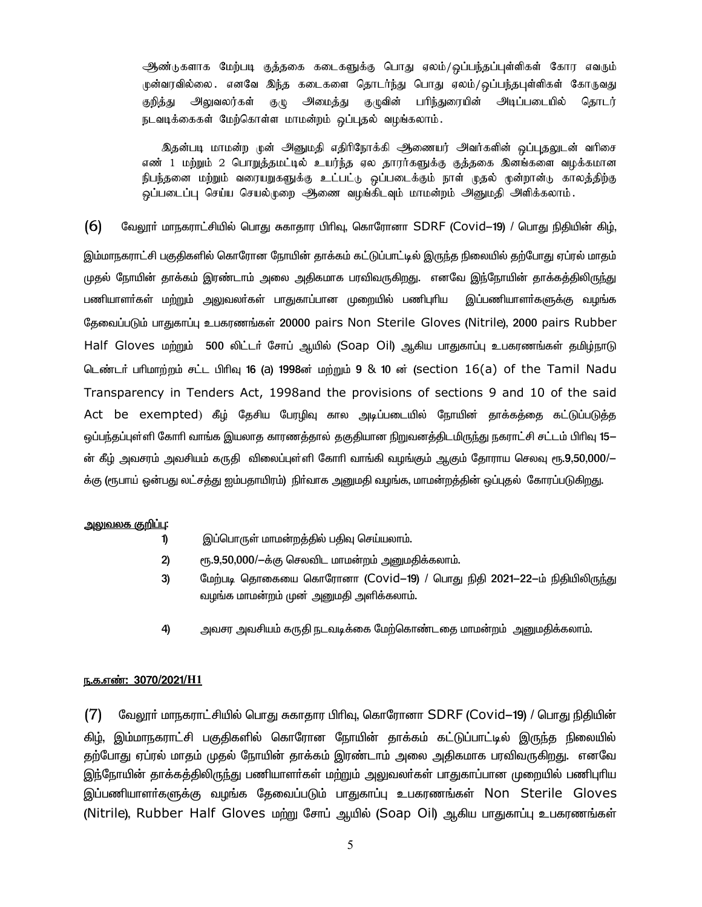ஆண்டுகளாக மேற்படி குத்தகை கடைகளுக்கு பொது ஏலம்/ஒப்பந்தப்புள்ளிகள் கோர எவரும் .மன்வரவில்லை . எனவே இந்த கடைகளை தொடர்ந்து பொது ஏலம்/ஒப்பந்தபுள்ளிகள் கோருவது அமைத்து பரிந்துரையின் அடிப்படையில் குறித்து அலுவலர்கள்  $\mathfrak{G}(\mathbb{Q})$ கு முவின் தொடர் நடவடிக்கைகள் மேற்கொள்ள மாமன்றம் ஒப்புதல் வழங்கலாம்.

இதன்படி மாமன்ற முன் அனுமதி எதிரிநோக்கி அணையர் அவர்களின் ஒப்புதலுடன் வரிசை எண் 1 மற்றும் 2 பொறுத்தமட்டில் உயர்ந்த ஏல தாரர்களுக்கு குத்தகை இனங்களை வழக்கமான .<br>நிபந்தனை மற்றும் வரையறுகளுக்கு உட்பட்டு ஒப்படைக்கும் நாள் முதல் முன்றான்டு காலத்திற்கு ஒப்படைப்பு செய்ய செயல்முறை ஆணை வழங்கிடவும் மாமன்றம் அனுமதி அளிக்கலாம்.

 $(6)$ வேலூா் மாநகராட்சியில் பொது சுகாதார பிாிவு, கொரோனா SDRF (Covid—19) / பொது நிதியின் கிழ், இம்மாநகராட்சி பகுதிகளில் கொரோன நோயின் தாக்கம் கட்டுப்பாட்டில் இருந்த நிலையில் தற்போது ஏப்ரல் மாதம் முதல் நோயின் தாக்கம் இரண்டாம் அலை அதிகமாக பரவிவருகிறது. எனவே இந்நோயின் தாக்கத்திலிருந்து பணியாளா்கள் மற்றும் அலுவலா்கள் பாதுகாப்பான முறையில் பணிபுாிய இப்பணியாளா்களுக்கு வழங்க தேவைப்படும் பாதுகாப்பு உபகரணங்கள் 20000 pairs Non Sterile Gloves (Nitrile), 2000 pairs Rubber Half Gloves மற்றும் 500 லிட்டர் சோப் ஆயில் (Soap Oil) ஆகிய பாதுகாப்பு உபகரணங்கள் தமிழ்நாடு டெண்டர் பரிமாற்றம் சட்ட பிரிவு 16 (a) 1998ன் மற்றும் 9 & 10 ன் (section 16(a) of the Tamil Nadu Transparency in Tenders Act, 1998and the provisions of sections 9 and 10 of the said Act be exempted) கீழ் தேசிய பேரழிவு கால அடிப்படையில் நோயின் தாக்கத்தை கட்டுப்படுத்த ஒப்பந்தப்புள்ளி கோரி வாங்க இயலாத காரணத்தால் தகுதியான நிறுவனத்திடமிருந்து நகராட்சி சட்டம் பிரிவு 15— ன் கீழ் அவசரம் அவசியம் கருதி விலைப்புள்ளி கோாி வாங்கி வழங்கும் ஆகும் தோராய செலவு ரூ.9,50,000/— க்கு (ரூபாய் ஒன்பது லட்சத்து ஐம்பதாயிரம்) நிர்வாக அனுமதி வழங்க, மாமன்றத்தின் ஒப்புதல் கோரப்படுகிறது.

#### <u>அலுவலக குறிப்பு:</u>

இப்பொருள் மாமன்றத்தில் பதிவு செய்யலாம். 1)

- $2)$ ரூ.9,50,000/-க்கு செலவிட மாமன்றம் அனுமதிக்கலாம்.
- 3) மேற்படி தொகையை கொரோனா (Covid–19) / பொது நிதி 2021–22–ம் நிதியிலிருந்து வழங்க மாமன்றம் முன் அனுமதி அளிக்கலாம்.
- 4) அவசர அவசியம் கருதி நடவடிக்கை மேற்கொண்டதை மாமன்றம் அனுமதிக்கலாம்.

#### <u>ந.க.எண்: 3070/2021/H1</u>

வேலூர் மாநகராட்சியில் பொது சுகாதார பிரிவு, கொரோனா SDRF (Covid-19) / பொது நிதியின்  $(7)$ கிழ், இம்மாநகராட்சி பகுதிகளில் கொரோன நோயின் தாக்கம் கட்டுப்பாட்டில் இருந்த நிலையில் தற்போது ஏப்ரல் மாதம் முதல் நோயின் தாக்கம் இரண்டாம் அலை அதிகமாக பரவிவருகிறது. எனவே இந்நோயின் தாக்கத்திலிருந்து பணியாளா்கள் மற்றும் அலுவலா்கள் பாதுகாப்பான முறையில் பணிபுாிய இப்பணியாளா்களுக்கு வழங்க தேவைப்படும் பாதுகாப்பு உபகரணங்கள் Non Sterile Gloves (Nitrile), Rubber Half Gloves மற்று சோப் ஆயில் (Soap Oil) ஆகிய பாதுகாப்பு உபகரணங்கள்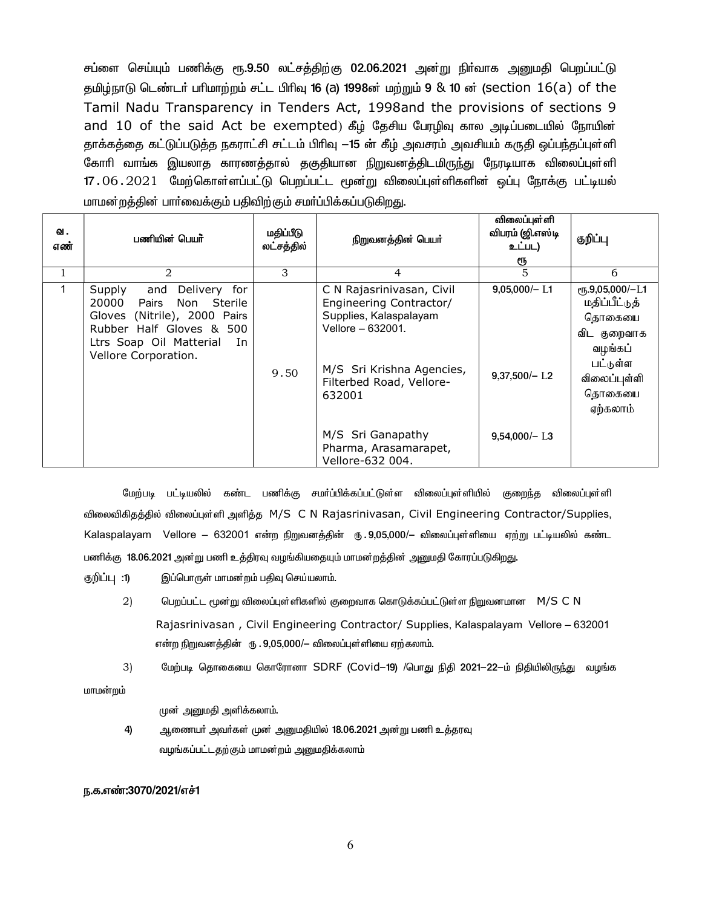சப்ளை செய்யும் பணிக்கு ரூ.9.50 லட்சத்திற்கு 02.06.2021 அன்று நிா்வாக அனுமதி பெறப்பட்டு தமிழ்நாடு டெண்டர் பரிமாற்றம் சட்ட பிரிவு 16 (a) 1998ன் மற்றும் 9 & 10 ன் (section 16(a) of the Tamil Nadu Transparency in Tenders Act, 1998and the provisions of sections 9 and 10 of the said Act be exempted) கீழ் தேசிய பேரழிவு கால அடிப்படையில் நோயின் தாக்கத்தை கட்டுப்படுத்த நகராட்சி சட்டம் பிரிவு —15 ன் கீழ் அவசரம் அவசியம் கருதி ஒப்பந்தப்புள்ளி கோரி வாங்க இயலாத காரணத்தால் தகுதியான நிறுவனத்திடமிருந்து நேரடியாக விலைப்புள்ளி 17.06.2021 மேற்கொள்ளப்பட்டு பெறப்பட்ட மூன்று விலைப்புள்ளிகளின் ஒப்பு நோக்கு பட்டியல் மாமன்றத்தின் பார்வைக்கும் பதிவிற்கும் சமர்ப்பிக்கப்படுகிறது.

| ഖ.<br>எண் | பணியின் பெயர்                                                                                                                                                                                  | மதிப்பீடு<br>லட்சத்தில் | நிறுவனத்தின் பெயர்                                                                                                                                                     | விலைப்புள்ளி<br>விபரம் (ஜி.எஸ்டி<br>உட்பட)<br>ரூ | குறிப்பு                                                                                                                   |
|-----------|------------------------------------------------------------------------------------------------------------------------------------------------------------------------------------------------|-------------------------|------------------------------------------------------------------------------------------------------------------------------------------------------------------------|--------------------------------------------------|----------------------------------------------------------------------------------------------------------------------------|
|           | 2                                                                                                                                                                                              | 3                       | 4                                                                                                                                                                      | 5                                                | 6                                                                                                                          |
|           | Supply<br>for<br>and<br><b>Delivery</b><br>20000<br>Pairs<br>Non Sterile<br>Gloves (Nitrile), 2000 Pairs<br>Rubber Half Gloves & 500<br>Ltrs Soap Oil Matterial<br>In.<br>Vellore Corporation. | 9.50                    | C N Rajasrinivasan, Civil<br>Engineering Contractor/<br>Supplies, Kalaspalayam<br>Vellore - 632001.<br>M/S Sri Krishna Agencies,<br>Filterbed Road, Vellore-<br>632001 | $9,05,000/- L1$<br>$9,37,500/-$ L <sub>2</sub>   | $e$ гҕ.9,05,000/-L1<br>மதிப்பீட்டுத்<br>தொகையை<br>விட குறைவாக<br>வழங்கப்<br>பட்டுள்ள<br>விலைப்புள்ளி<br>தொகையை<br>ஏற்கலாம் |
|           |                                                                                                                                                                                                |                         | M/S Sri Ganapathy<br>Pharma, Arasamarapet,<br>Vellore-632 004.                                                                                                         | $9,54,000/-$ L3                                  |                                                                                                                            |

மேற்படி பட்டியலில் கண்ட பணிக்கு சமா்ப்பிக்கப்பட்டுள்ள விலைப்புள்ளியில் குறைந்த விலைப்புள்ளி விலைவிகிதத்தில் விலைப்புள்ளி அளித்த M/S C N Rajasrinivasan, Civil Engineering Contractor/Supplies, Kalaspalayam Vellore – 632001 என்ற நிறுவனத்தின் ரு. 9,05,000/– விலைப்புள்ளியை ஏற்று பட்டியலில் கண்ட பணிக்கு 18.06.2021 அன்று பணி உத்திரவு வழங்கியதையும் மாமன்றத்தின் அனுமதி கோரப்படுகிறது.

குறிப்பு :1) இப்பொருள் மாமன்றம் பதிவு செய்யலாம்.

- $(2)$ பெறப்பட்ட மூன்று விலைப்புள்ளிகளில் குறைவாக கொடுக்கப்பட்டுள்ள நிறுவனமான M/S C N Rajasrinivasan, Civil Engineering Contractor/ Supplies, Kalaspalayam Vellore - 632001 என்ற நிறுவனத்தின் ரூ . 9,05,000/— விலைப்புள்ளியை ஏற்கலாம்.
- மேற்படி தொகையை கொரோனா SDRF (Covid—19) /பொது நிதி 2021—22—ம் நிதியிலிருந்து வழங்க  $3)$

மாமன்றம்

முன் அனுமதி அளிக்கலாம்.

4) ஆணையா் அவா்கள் முன் அனுமதியில் 18.06.2021 அன்று பணி உத்தரவு வழங்கப்பட்டதற்கும் மாமன்றம் அனுமதிக்கலாம்

#### ந.க.எண்:3070/2021/எச்1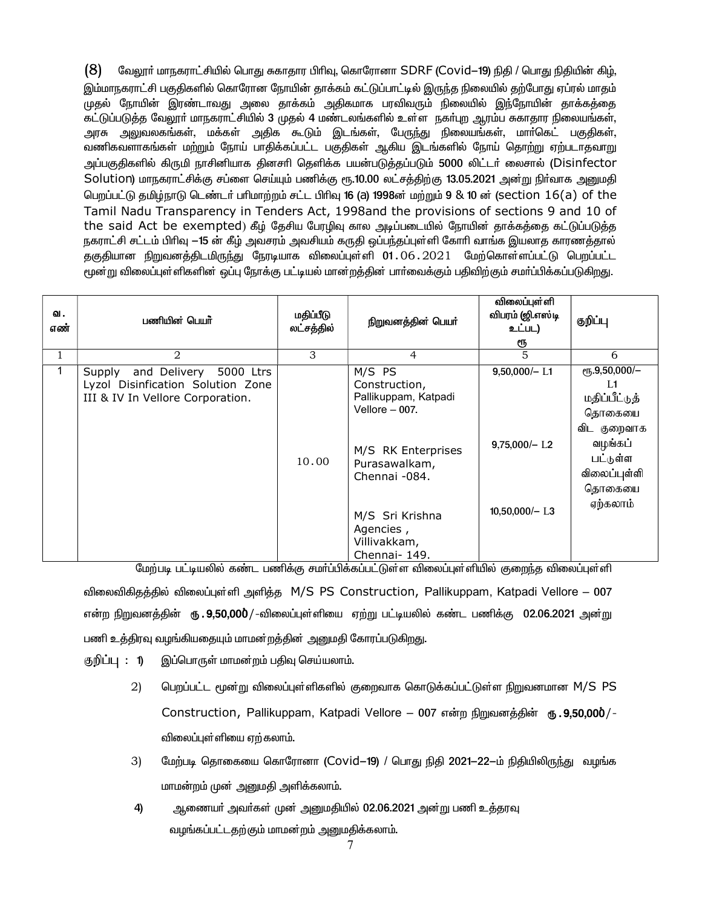$(8)$ வேலூர் மாநகராட்சியில் பொது சுகாதார பிரிவு, கொரோனா SDRF (Covid–19) நிதி / பொது நிதியின் கிழ், இம்மாநகராட்சி பகுதிகளில் கொரோன நோயின் தாக்கம் கட்டுப்பாட்டில் இருந்த நிலையில் தற்போது ஏப்ரல் மாதம் முதல் நோயின் இரண்டாவது அலை தாக்கம் அதிகமாக பரவிவரும் நிலையில் இந்நோயின் தாக்கத்தை கட்டுப்படுத்த வேலூர் மாநகராட்சியில் 3 முதல் 4 மண்டலங்களில் உள்ள நகர்புற ஆரம்ப சுகாதார நிலையங்கள், அரசு அலுவலகங்கள், மக்கள் அதிக கூடும் இடங்கள், பேருந்து நிலையங்கள், மாா்கெட் பகுதிகள், வணிகவளாகங்கள் மற்றும் நோய் பாதிக்கப்பட்ட பகுதிகள் ஆகிய இடங்களில் நோய் தொற்று ஏற்படாதவாறு அப்பகுதிகளில் கிருமி நாசினியாக தினசாி தெளிக்க பயன்படுத்தப்படும் 5000 லிட்டா் லைசால் (Disinfector Solution) மாநகராட்சிக்கு சப்ளை செய்யும் பணிக்கு ரூ.10.00 லட்சத்திற்கு 13.05.2021 அன்று நிர்வாக அனுமதி பெறப்பட்டு தமிழ்நாடு டெண்டர் பரிமாற்றம் சட்ட பிரிவு 16 (a) 1998ன் மற்றும் 9 & 10 ன் (section 16(a) of the Tamil Nadu Transparency in Tenders Act, 1998and the provisions of sections 9 and 10 of the said Act be exempted) கீழ் தேசிய பேரழிவு கால அடிப்படையில் நோயின் தாக்கத்தை கட்டுப்படுத்த நகராட்சி சட்டம் பிரிவு —15 ன் கீழ் அவசரம் அவசியம் கருதி ஒப்பந்தப்புள்ளி கோரி வாங்க இயலாத காரணத்தால் தகுதியான நிறுவனத்திடமிருந்து நேரடியாக விலைப்புள்ளி 01.06.2021 மேற்கொள்ளப்பட்டு பெறப்பட்ட மூன்று விலைப்புள்ளிகளின் ஒப்பு நோக்கு பட்டியல் மான்றத்தின் பார்வைக்கும் பதிவிற்கும் சமர்ப்பிக்கப்படுகிறது.

| ഖ.<br>எண் | பணியின் பெயர்                                                                                             | மதிப்பீடு<br>லட்சத்தில் | நிறுவனத்தின் பெயர்                                                                                                                                                                          | விலைப்புள்ளி<br>விபரம் (ஜி.எஸ்டி<br>உட்பட)<br>ரூ       | குறிப்பு                                                                                                                       |
|-----------|-----------------------------------------------------------------------------------------------------------|-------------------------|---------------------------------------------------------------------------------------------------------------------------------------------------------------------------------------------|--------------------------------------------------------|--------------------------------------------------------------------------------------------------------------------------------|
| Τ.        | 2                                                                                                         | 3                       | $\overline{4}$                                                                                                                                                                              | $\overline{5}$                                         | 6                                                                                                                              |
| 1         | and Delivery 5000 Ltrs<br>Supply<br>Lyzol Disinfication Solution Zone<br>III & IV In Vellore Corporation. | 10.00                   | M/S PS<br>Construction,<br>Pallikuppam, Katpadi<br>Vellore $-007$ .<br>M/S RK Enterprises<br>Purasawalkam,<br>Chennai -084.<br>M/S Sri Krishna<br>Agencies,<br>Villivakkam,<br>Chennai-149. | $9,50,000/- L1$<br>$9,75,000/- L2$<br>$10,50,000/-$ L3 | $e$ гђ.9,50,000/-<br>L1<br>மதிப்பீட்டுத்<br>தொகையை<br>விட குறைவாக<br>வழங்கப்<br>பட்டுள்ள<br>விலைப்புள்ளி<br>தொகையை<br>ஏற்கலாம் |

மேற்படி பட்டியலில் கண்ட பணிக்கு சமா்ப்பிக்கப்பட்டுள்ள விலைப்புள்ளியில் குறைந்த விலைப்புள்ளி விலைவிகிதத்தில் விலைப்புள்ளி அளித்த M/S PS Construction, Pallikuppam, Katpadi Vellore – 007 என்ற நிறுவனத்தின் ரூ . 9,50,000 / -விலைப்புள்ளியை ஏற்று பட்டியலில் கண்ட பணிக்கு 02.06.2021 அன்று பணி உத்திரவு வழங்கியதையும் மாமன்றத்தின் அனுமதி கோரப்படுகிறது.

குறிப்பு : 1) இப்பொருள் மாமன்றம் பதிவு செய்யலாம்.

- $(2)$ பெறப்பட்ட மூன்று விலைப்புள்ளிகளில் குறைவாக கொடுக்கப்பட்டுள்ள நிறுவனமான M/S PS Construction, Pallikuppam, Katpadi Vellore – 007 என்ற நிறுவனத்தின் ரூ.9,50,000/-விலைப்புள்ளியை ஏற்கலாம்.
- $3)$ மேற்படி தொகையை கொரோனா (Covid—19) / பொது நிதி 2021—22—ம் நிதியிலிருந்து வழங்க மாமன்றம் முன் அனுமதி அளிக்கலாம்.
- $\overline{4}$ ஆணையர் அவர்கள் முன் அனுமதியில் 02.06.2021 அன்று பணி உத்தரவு வழங்கப்பட்டதற்கும் மாமன்றம் அனுமதிக்கலாம்.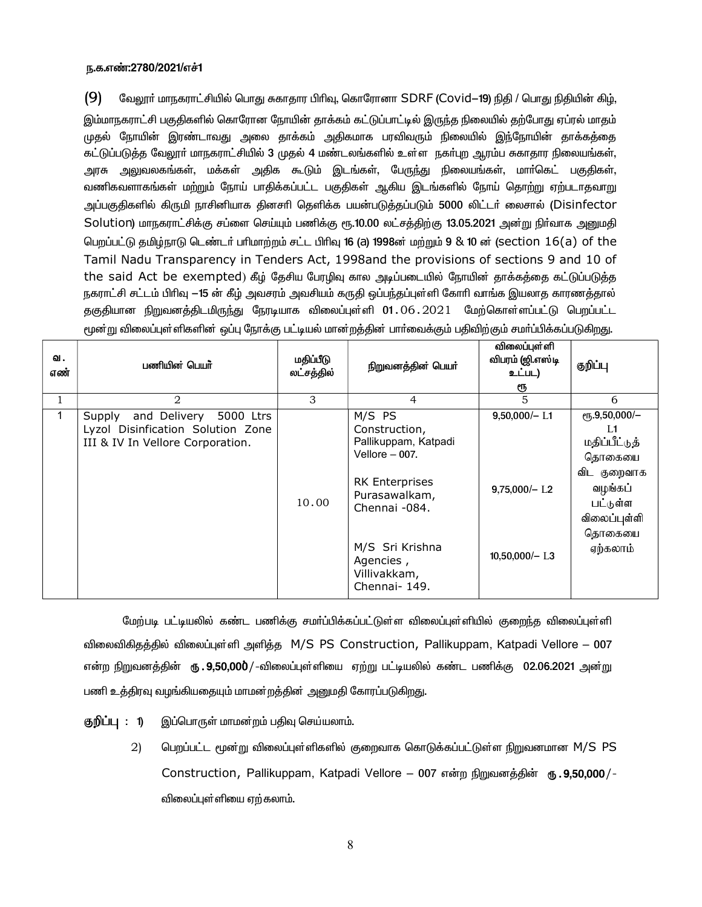#### ந.க.எண்:2780/2021/எச்1

 $(9)$ வேலூா் மாநகராட்சியில் பொது சுகாதார பிாிவு, கொரோனா SDRF (Covid—19) நிதி / பொது நிதியின் கிழ்,

இம்மாநகராட்சி பகுதிகளில் கொரோன நோயின் தாக்கம் கட்டுப்பாட்டில் இருந்த நிலையில் தற்போது ஏப்ரல் மாதம் முதல் நோயின் இரண்டாவது அலை தாக்கம் அதிகமாக பரவிவரும் நிலையில் இந்நோயின் தாக்கத்தை ்கட்டுப்படுத்த வேலூா் மாநகராட்சியில் 3 முதல் 4 மண்டலங்களில் உள்ள நகா்புற ஆரம்ப சுகாதார நிலையங்கள் அரசு அலுவலகங்கள், மக்கள் அதிக கூடும் இடங்கள், பேருந்து நிலையங்கள், மார்கெட் பகுதிகள், வணிகவளாகங்கள் மற்றும் நோய் பாதிக்கப்பட்ட பகுதிகள் ஆகிய இடங்களில் நோய் தொற்று ஏற்படாதவாறு அப்பகுதிகளில் கிருமி நாசினியாக தினசாி தெளிக்க பயன்படுத்தப்படும் 5000 லிட்டா் லைசால் (Disinfector, Solution) மாநகராட்சிக்கு சப்ளை செய்யும் பணிக்கு ரூ.10.00 லட்சக்கிற்கு 13.05.2021 அன்று நிர்வாக அனுமதி பெறப்பட்டு தமிழ்நாடு டெண்டர் பரிமாற்றம் சட்ட பிரிவு **16 (a) 1998**ன் மற்றும் 9 & 10 ன் (section 16(a) of the Tamil Nadu Transparency in Tenders Act, 1998and the provisions of sections 9 and 10 of the said Act be exempted) கீழ் தேசிய பேரழிவு கால அடிப்படையில் நோயின் தாக்கத்தை கட்டுப்படுத்த நகராட்சி சட்டம் பிரிவு —15 ன் கீழ் அவசரம் அவசியம் கருதி ஒப்பந்தப்புள்ளி கோரி வாங்க இயலாத காரணத்தால் தகுதியான நிறுவனத்திடமிருந்து நேரடியாக விலைப்புள்ளி 01.06.2021 மேற்கொள்ளப்பட்டு பெறப்பட்ட

| ഖ.<br>எண் | பணியின் பெயர்                                                                                             | மதிப்பீடு<br>லட்சத்தில் | நிறுவனத்தின் பெயர்                                                                                                                                                                              | விலைப்புள்ளி<br>விபரம் (ஜி.எஸ்டி<br>உட்பட)<br>ரூ                   | குறிப்பு                                                                                                                                 |
|-----------|-----------------------------------------------------------------------------------------------------------|-------------------------|-------------------------------------------------------------------------------------------------------------------------------------------------------------------------------------------------|--------------------------------------------------------------------|------------------------------------------------------------------------------------------------------------------------------------------|
|           | $\overline{2}$                                                                                            | 3                       | 4                                                                                                                                                                                               | 5                                                                  | 6                                                                                                                                        |
|           | and Delivery 5000 Ltrs<br>Supply<br>Lyzol Disinfication Solution Zone<br>III & IV In Vellore Corporation. | 10.00                   | M/S PS<br>Construction,<br>Pallikuppam, Katpadi<br>Vellore $-007$ .<br><b>RK Enterprises</b><br>Purasawalkam,<br>Chennai -084.<br>M/S Sri Krishna<br>Agencies,<br>Villivakkam,<br>Chennai- 149. | $9,50,000/- L1$<br>$9,75,000/-$ L <sub>2</sub><br>$10,50,000/-$ L3 | ரூ.9,50,000 $\overline{/-}$<br>L1<br>மதிப்பீட்டுத்<br>தொகையை<br>விட குறைவாக<br>வழங்கப்<br>பட்டுள்ள<br>விலைப்புள்ளி<br>தொகையை<br>ஏற்கலாம் |

மூன்று விலைப்புள்ளிகளின் ஒப்பு நோக்கு பட்டியல் மான்றத்தின் பார்வைக்கும் பதிவிற்கும் சமர்ப்பிக்கப்படுகிறது.

மேற்படி பட்டியலில் கண்ட பணிக்கு சமா்ப்பிக்கப்பட்டுள்ள விலைப்புள்ளியில் குறைந்த விலைப்புள்ளி விலைவிகிதத்தில் விலைப்புள்ளி அளித்த M/S PS Construction, Pallikuppam, Katpadi Vellore – 007 என்ற நிறுவனத்தின் **ரு . 9,50,000** / -விலைப்புள்ளியை ஏற்று பட்டியலில் கண்ட பணிக்கு 02.06.2021 அன்று பணி உத்திரவு வழங்கியதையும் மாமன்றத்தின் அனுமதி கோரப்படுகிறது.

- குறிப்பு : 1) இப்பொருள் மாமன்றம் பதிவு செய்யலாம்.
	- பெறப்பட்ட மூன்று விலைப்புள்ளிகளில் குறைவாக கொடுக்கப்பட்டுள்ள நிறுவனமான M/S PS 2) Construction, Pallikuppam, Katpadi Vellore - 007 என்ற நிறுவனத்தின் ரு. 9,50,000/-விலைப்புள்ளியை ஏற்கலாம்.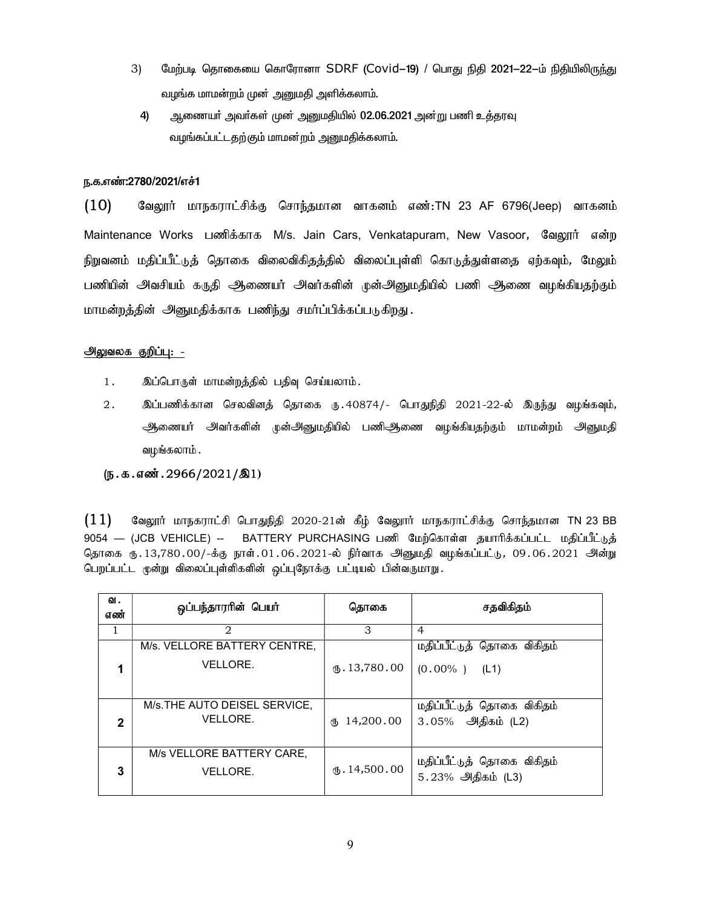- 3) மேற்படி தொகையை கொரோனா SDRF (Covid–19) / பொது நிதி 2021–22–ம் நிதியிலிருந்து வழங்க மாமன்றம் முன் அனுமதி அளிக்கலாம்.
	- 4) ஆணையா் அவா்கள் முன் அனுமதியில் 02.06.2021 அன்று பணி உத்தரவு வழங்கப்பட்டதற்கும் மாமன்றம் அனுமதிக்கலாம்.

#### ந.க.எண்:2780/2021/எச்1

 $(10)$  கேலூர் மாநகராட்சிக்கு சொந்தமான வாகனம் எண்:TN 23 AF 6796(Jeep) வாகனம் Maintenance Works பணிக்காக M/s. Jain Cars, Venkatapuram, New Vasoor*, வே*லூர் என்ற நிறுவனம் மதிப்பீட்டுத் தொகை விலைவிகிதத்தில் விலைப்புள்ளி கொடுத்துள்ளதை ஏற்கவும், மேலும் பணியின் அவசியம் கருதி ஆணையர் அவர்களின் முன்அனுமதியில் பணி ஆணை வழங்கியதற்கும் மாமன்றத்தின் அனுமதிக்காக பணிந்து சமர்ப்பிக்கப்படுகிறது.

#### <u>அலுவலக குறிப்பு: -</u>

- 1. இப்பொருள் மாமன்றத்தில் பதிவு செய்யலாம்.
- 2. இப்பணிக்கான செலவினத் தொகை ரு.40874/- பொதுநிதி 2021-22-ல் இருந்து வழங்கவும், ஆணையர் அவர்களின் முன்அனுமதியில் பணிஆணை வழங்கியதற்கும் மாமன்றம் அனுமதி வழங்கலாம் .

#### $(D.5.5.5)$  $(D.3001.2966/2021/\text{A})$

 $(11)$  Bagyார் மாநகராட்சி பொதுநிதி 2020-21ன் கீழ் வேலூார் மாநகராட்சிக்கு சொந்தமான TN 23 BB 9054 — (JCB VEHICLE) -- BATTERY PURCHASING பணி மேற்கொள்ள தயாரிக்கப்பட்ட மதிப்பீட்டுத் தொகை ரு. 13,780.00/-க்கு நாள்.01.06.2021-ல் நிர்வாக அனுமதி வழங்கப்பட்டு, 09.06.2021 அன்று பெறப்பட்ட முன்று விலைப்புள்ளிகளின் ஒப்புநோக்கு பட்டியல் பின்வருமாறு.

| ഖ.<br>எண் | ஒப்பந்தாரரின் பெயர்                       | தொகை                          | சதவிகிதம்                                       |
|-----------|-------------------------------------------|-------------------------------|-------------------------------------------------|
| 1         | $\mathfrak{D}_{\mathfrak{p}}$             | 3                             | $\overline{4}$                                  |
|           | M/s. VELLORE BATTERY CENTRE,<br>VELLORE.  | $\mathbf{t}$ . 13,780.00      | மதிப்பீட்டுத் தொகை விகிதம்<br>$(0.00\%)$ (L1)   |
| 2         | M/s. THE AUTO DEISEL SERVICE,<br>VELLORE. | 14,200.00<br>₫Љ               | மதிப்பீட்டுத் தொகை விகிதம்<br>3.05% அதிகம் (L2) |
| 3         | M/s VELLORE BATTERY CARE,<br>VELLORE.     | $\textcircled{t}$ . 14,500.00 | மதிப்பீட்டுத் தொகை விகிதம்<br>5.23% அதிகம் (L3) |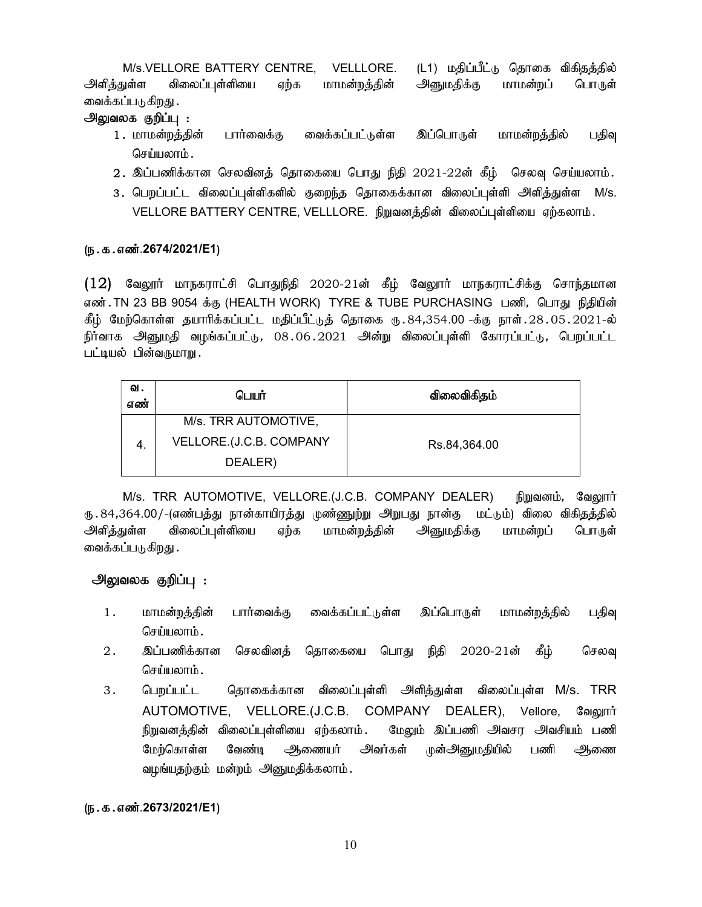M/s.VELLORE BATTERY CENTRE, VELLLORE. (L1) மதிப்பீட்டு தொகை விகிதத்தில் அளிக்குள்ள விலைப்பள்ளியை எற்க மாமன்றக்கின் அனுமகிக்கு மாமன்றப் பொருள் வைக்கப்படுகிறது .

## அலுவலக குறிப்பு :

- 1. மாமன்றத்தின் பார்வைக்கு வைக்கப்பட்டுள்ள இப்பொருள் மாமன்றத்தில் பதிவு செய்யலாம்.
- $2.$  இப்பணிக்கான செலவினத் தொகையை பொது நிதி  $2021$ - $22$ ன் கீழ் செலவு செய்யலாம்.
- 3. பெறப்பட்ட விலைப்புள்ளிகளில் குறைந்த தொகைக்கான விலைப்புள்ளி அளித்துள்ள M/s. VELLORE BATTERY CENTRE, VELLLORE. நிறுவனத்தின் விலைப்புள்ளியை ஏற்கலாம்.

## (ந.க.எண்.2674/2021/E1)

 $(12)$  வேலூர் மாநகராட்சி பொதுநிதி 2020-21ன் கீழ் வேலூர் மாநகராட்சிக்கு சொந்தமான எண்.TN 23 BB 9054 க்கு (HEALTH WORK) TYRE & TUBE PURCHASING பணி, பொது நிதியின் கீழ் மேற்கொள்ள தயாரிக்கப்பட்ட மதிப்பீட்டுத் தொகை ரு. 84,354.00 -க்கு நாள். 28. 05. 2021-ல் நிர்வாக அனுமதி வழங்கப்பட்டு, 08.06.2021 அன்று விலைப்புள்ளி கோரப்பட்டு, பெறப்பட்ட பட்டியல் பின்வருமாறு.

| ഖ.<br>எண் | பெயர்                   | விலைவிகிதம்  |
|-----------|-------------------------|--------------|
|           | M/s. TRR AUTOMOTIVE,    |              |
| 4.        | VELLORE.(J.C.B. COMPANY | Rs.84,364.00 |
|           | DEALER)                 |              |

M/s. TRR AUTOMOTIVE, VELLORE.(J.C.B. COMPANY DEALER) நிறுவனம், வேலூர் ரு . 84,364.00/-(எண்பத்து நான்காயிரத்து முண்ணுற்று அறுபது நான்கு மட்டும்) விலை விகிதத்தில் அளித்துள்ள விலைப்புள்ளியை ஏற்க மாமன்றத்தின் அனுமதிக்கு மாமன்றப் பொருள் வைக்கப்படுகிறது .

## அலுவலக குறிப்பு :

- 1. மாமன்றத்தின் பார்வைக்கு வைக்கப்பட்டுள்ள இப்பொருள் மாமன்றத்தில் பதிவு செய்யலாம் $\,$ .
- 2 . இப்பணிக்கான செலவினத் தொகையை பொது நிதி 2020-21ன் கீழ் செலவு செய்யலாம்.
- 3. பெறப்பட்ட தொகைக்கான விலைப்புள்ளி அளித்துள்ள விலைப்புள்ள M/s. TRR AUTOMOTIVE, VELLORE.(J.C.B. COMPANY DEALER), Vellore, வேலூர் நிறுவனத்தின் விலைப்புள்ளியை ஏற்கலாம். மேலும் இப்பணி அவசர அவசியம் பணி மேற்கொள்ள வேண்டி ஆணையர் அவர்கள் முன்அனுமதியில் பணி ஆணை வழங்யதற்கும் மன்றம் அனுமதிக்கலாம்.

## (ந.க.எண்.2673/2021/E1)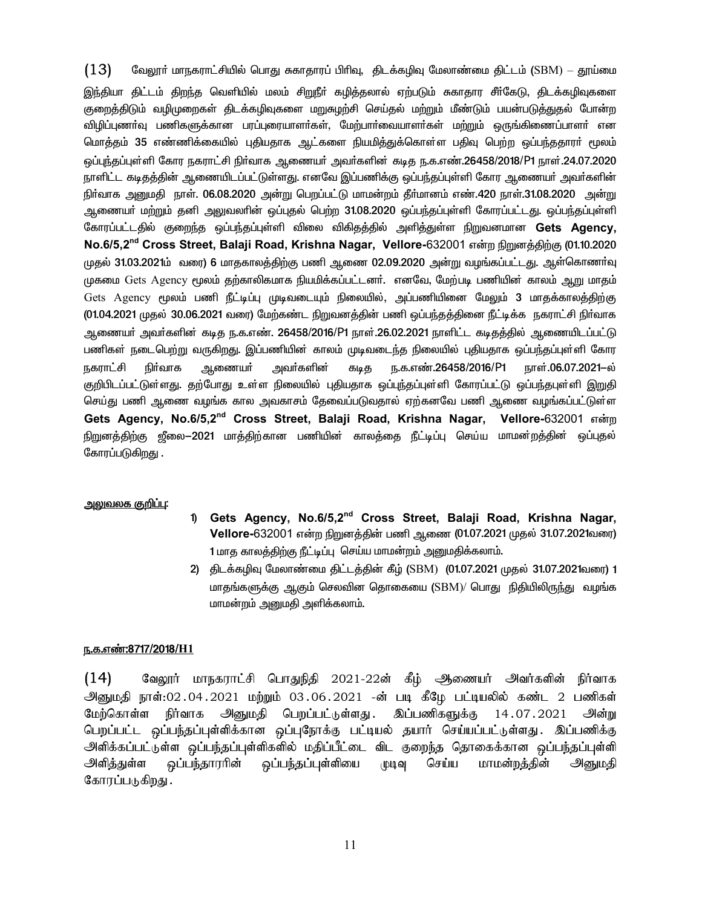$(13)$ வேலூா் மாநகராட்சியில் பொது சுகாதாரப் பிாிவு, திடக்கழிவு மேலாண்மை திட்டம் (SBM) — தூய்மை இந்தியா திட்டம் திறந்த வெளியில் மலம் சிறுநீா் கழித்தலால் ஏற்படும் சுகாதார சீா்கேடு, திடக்கழிவுகளை குறைத்திடும் வழிமுறைகள் திடக்கழிவுகளை மறுசுழற்சி செய்தல் மற்றும் மீண்டும் பயன்படுத்துதல் போன்ற விழிப்புணா்வு பணிகளுக்கான பரப்புரையாளா்கள், மேற்பாா்வையாளா்கள் மற்றும் ஒருங்கிணைப்பாளா் என மொத்தம் 35 எண்ணிக்கையில் புதியதாக ஆட்களை நியமித்துக்கொள்ள பதிவு பெற்ற ஒப்பந்ததாரா் மூலம் ஒப்புந்தப்புள்ளி கோர நகராட்சி நிா்வாக ஆணையா் அவா்களின் கடித ந.க.எண்.26458/2018/P1 நாள்.24.07.2020 நாளிட்ட கடிதத்தின் ஆணையிடப்பட்டுள்ளது. எனவே இப்பணிக்கு ஒப்பந்தப்புள்ளி கோர ஆணையர் அவர்களின் நிா்வாக அனுமதி நாள். 06.08.2020 அன்று பெறப்பட்டு மாமன்றம் தீா்மானம் எண்.420 நாள்.31.08.2020 அன்று ஆணையா் மற்றும் தனி அலுவலாின் ஒப்புதல் பெற்ற 31.08.2020 ஒப்பந்தப்புள்ளி கோரப்பட்டது. ஒப்பந்தப்புள்ளி கோரப்பட்டதில் குறைந்த ஒப்பந்தப்புள்ளி விலை விகிதத்தில் அளித்துள்ள நிறுவனமான Gets Agency, No.6/5,2<sup>nd</sup> Cross Street, Balaji Road, Krishna Nagar, Vellore-632001 என்ற நிறுனத்திற்கு (01.10.2020 முதல் 31.03.2021ம் வரை) 6 மாதகாலத்திற்கு பணி ஆணை 02.09.2020 அன்று வழங்கப்பட்டது. ஆள்கொணாவு முகமை Gets Agency மூலம் தற்காலிகமாக நியமிக்கப்பட்டனர். எனவே, மேற்படி பணியின் காலம் ஆறு மாதம் Gets Agency மூலம் பணி நீட்டிப்பு முடிவடையும் நிலையில், அப்பணியினை மேலும் 3 மாதக்காலத்திற்கு (01.04.2021 முதல் 30.06.2021 வரை) மேற்கண்ட நிறுவனத்தின் பணி ஒப்பந்தத்தினை நீட்டிக்க நகராட்சி நிர்வாக ஆணையா் அவா்களின் கடித ந.க.எண். 26458/2016/P1 நாள்.26.02.2021 நாளிட்ட கடிதத்தில் ஆணையிடப்பட்டு பணிகள் நடைபெற்று வருகிறது. இப்பணியின் காலம் முடிவடைந்த நிலையில் புதியதாக ஒப்பந்தப்புள்ளி கோர அவர்களின் நகராட்சி நிர்வாக ஆணையா்<sup>.</sup> ந.க.எண்.26458/2016/P1 நாள்.06.07.2021-ல் கடித குறிபிடப்பட்டுள்ளது. தற்போது உள்ள நிலையில் புதியதாக ஒப்புந்தப்புள்ளி கோரப்பட்டு ஒப்பந்தபுள்ளி இறுதி செய்து பணி ஆணை வழங்க கால அவகாசம் தேவைப்படுவதால் ஏற்கனவே பணி ஆணை வழங்கப்பட்டுள்ள Gets Agency, No.6/5,2<sup>nd</sup> Cross Street, Balaji Road, Krishna Nagar, Vellore-632001 என்ற கோரப்படுகிறது.

#### <u>அலுவலக குறிப்பு:</u>

- Gets Agency, No.6/5,2<sup>nd</sup> Cross Street, Balaji Road, Krishna Nagar,  $\uparrow$ Vellore-632001 என்ற நிறுனத்தின் பணி ஆணை (01.07.2021 முதல் 31.07.2021வரை) 1 மாத காலத்திற்கு நீட்டிப்பு செய்ய மாமன்றம் அனுமதிக்கலாம்.
- 2) திடக்கழிவு மேலாண்மை திட்டத்தின் கீழ் (SBM) (01.07.2021 முதல் 31.07.2021வரை) 1 மாதங்களுக்கு ஆகும் செலவின தொகையை (SBM)/ பொது நிதியிலிருந்து வழங்க மாமன்றம் அனுமதி அளிக்கலாம்.

#### <u>ந.க.எண்:8717/2018/H1</u>

 $(14)$ வேலூர் மாநகராட்சி பொதுநிதி 2021-22ன் கீழ் அணையர் அவர்களின் நிர்வாக அ்னுமதி நாள்:02.04.2021 மற்றும் 03.06.2021 -ன் படி கீழே பட்டியலில் கண்ட 2 பணிகள் மேற்கொள்ள நிர்வாக அனுமதி பெறப்பட்டுள்ளது இப்பணிகளுக்கு 14.07.2021 அன்று பெறப்பட்ட ஒப்பந்தப்புள்ளிக்கான ஒப்புநோக்கு பட்டியல் தயார் செய்யப்பட்டுள்ளது. இப்பணிக்கு அளிக்கப்பட்டுள்ள ஒப்பந்தப்புள்ளிகளில் மதிப்பீட்டை விட குறைந்த தொகைக்கான ஒப்பந்தப்புள்ளி அளித்துள்ள ஒப்பந்தாரரின் ஒப்பந்தப்புள்ளியை முடிவு செய்ய மாமன்றத்தின் அனுமதி கோரப்படுகிறது.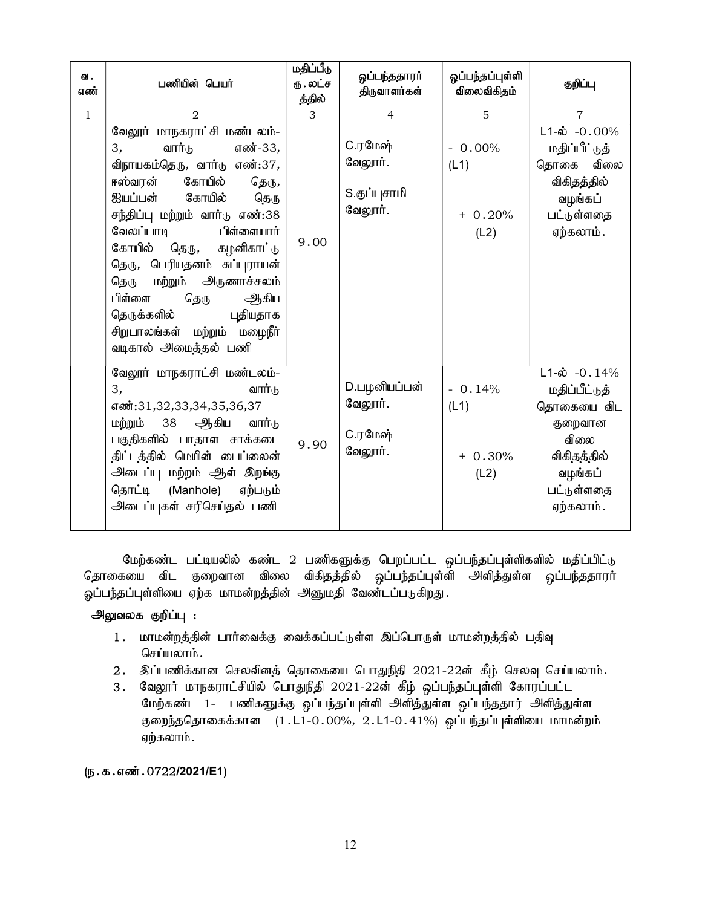| ഖ.<br>எண்      | பணியின் பெயர்                                                                                                                                                                                                                                                                                                                                                                                                             | மதிப்பீடு<br>ரு .லட்ச<br>த்தில் | ஒப்பந்ததாரா்<br>திருவாளர்கள்                         | ஒப்பந்தப்புள்ளி<br>விலைவிகிதம்        | குறிப்பு                                                                                                                        |
|----------------|---------------------------------------------------------------------------------------------------------------------------------------------------------------------------------------------------------------------------------------------------------------------------------------------------------------------------------------------------------------------------------------------------------------------------|---------------------------------|------------------------------------------------------|---------------------------------------|---------------------------------------------------------------------------------------------------------------------------------|
| $\overline{1}$ | $\overline{2}$                                                                                                                                                                                                                                                                                                                                                                                                            | $\overline{3}$                  | $\overline{4}$                                       | $\overline{5}$                        | $\overline{7}$                                                                                                                  |
|                | வேலூர் மாநகராட்சி மண்டலம்-<br>வார்டு<br>எண்-33,<br>3,<br>விநாயகம்தெரு, வார்டு எண்:37,<br>ஈஸ்வரன் கோயில்<br>தெரு,<br><u> ஐயப்பன் கோயில்</u><br>தெரு<br>சந்திப்பு மற்றும் வார்டு எண்:38<br>வேலப்பாடி<br>பிள்ளையார்<br>கோயில்<br>கழனிகாட்டு<br>தெரு,<br>தெரு, பெரியதனம் சுப்புராயன்<br>தெரு மற்றும் அருணாச்சலம்<br>பிள்ளை<br>ஆகிய<br>தெரு<br>தெருக்களில்<br>புதியதாக<br>சிறுபாலங்கள் மற்றும் மழைநீர்<br>வடிகால் அமைத்தல் பணி | 9.00                            | <b>C.ரமேஷ்</b><br>வேலூர்.<br>S.குப்புசாமி<br>வேலூர். | $-0.00\%$<br>(L1)<br>$+0.20%$<br>(L2) | $L1-\dot{\omega}$ -0.00%<br>மதிப்பீட்டுத்<br>விலை<br>தொகை<br>விகிதத்தில்<br>வழங்கப்<br>பட்டுள்ளதை<br>ஏற்கலாம்.                  |
|                | வேலூர் மாநகராட்சி மண்டலம்-<br>வார்டு<br>3,<br>எண்:31,32,33,34,35,36,37<br>மற்றும் 38 ஆகிய<br>வார்டு<br>பகுதிகளில் பாதாள சாக்கடை<br>திட்டத்தில் மெயின் பைப்லைன்<br>அடைப்பு மற்றம் ஆள் இறங்கு<br>தொட்டி (Manhole)<br>ஏற்படும்<br>அடைப்புகள் சரிசெய்தல் பணி                                                                                                                                                                  | 9.90                            | D.பழனியப்பன்<br>வேலூர்.<br><b>C.ரமேஷ்</b><br>வேலூர். | $-0.14%$<br>(L1)<br>$+0.30%$<br>(L2)  | $L1-\dot{\omega}$ -0.14%<br>மதிப்பீட்டுத்<br>தொகையை விட<br>குறைவான<br>விலை<br>விகிதத்தில்<br>வழங்கப்<br>பட்டுள்ளதை<br>ஏற்கலாம். |

மேற்கண்ட பட்டியலில் கண்ட 2 பணிகளுக்கு பெறப்பட்ட ஒப்பந்தப்புள்ளிகளில் மதிப்பிட்டு தொகையை விட குறைவான விலை விகிதத்தில் ஒப்பந்தப்புள்ளி அளித்துள்ள ஒப்பந்ததாரர் ஓப்பந்தப்புள்ளியை ஏற்க மாமன்றத்தின் அனுமதி வேண்டப்படுகிறது.

## அலுவலக குறிப்பு :

- 1. மாமன்றத்தின் பார்வைக்கு வைக்கப்பட்டுள்ள இப்பொருள் மாமன்றத்தில் பதிவு செய்யலாம்.
- $2.$  இப்பணிக்கான செலவினத் தொகையை பொதுநிதி  $2021$ - $22$ ன் கீழ் செலவு செய்யலாம்.
- 3. வேலூர் மாநகராட்சியில் பொதுநிதி 2021-22ன் கீழ் ஒப்பந்தப்புள்ளி கோரப்பட்ட மேற்கண்ட 1- பணிகளுக்கு ஒப்பந்தப்புள்ளி அளித்துள்ள ஒப்பந்ததார் அளித்துள்ள குறைந்ததொகைக்கான  $(1.11-0.00\%, 2.11-0.41\%)$  ஒப்பந்தப்புள்ளியை மாமன்றம் ஏற்கலாம்.

## $(D.5.5.5\ldots)$  . 0722/2021/E1)